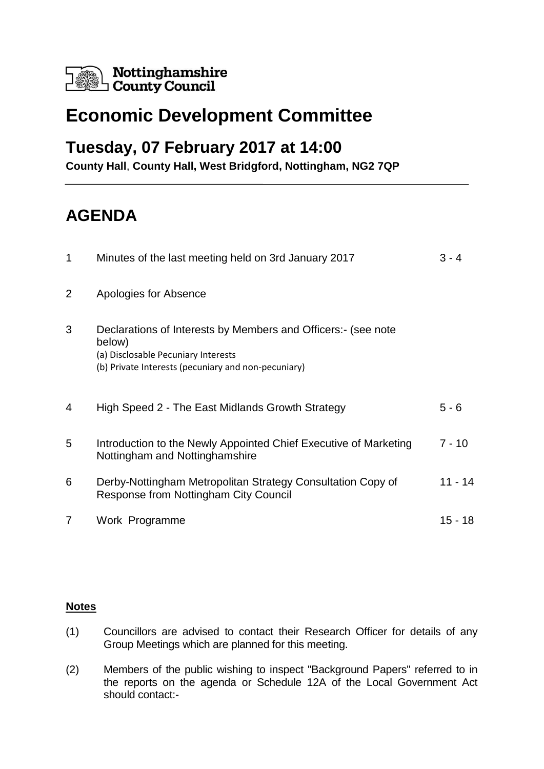

# **Economic Development Committee**

### **Tuesday, 07 February 2017 at 14:00**

**County Hall**, **County Hall, West Bridgford, Nottingham, NG2 7QP**

# **AGENDA**

| 1 | Minutes of the last meeting held on 3rd January 2017                                                                                                                 | $3 - 4$  |
|---|----------------------------------------------------------------------------------------------------------------------------------------------------------------------|----------|
| 2 | Apologies for Absence                                                                                                                                                |          |
| 3 | Declarations of Interests by Members and Officers: (see note<br>below)<br>(a) Disclosable Pecuniary Interests<br>(b) Private Interests (pecuniary and non-pecuniary) |          |
| 4 | High Speed 2 - The East Midlands Growth Strategy                                                                                                                     | $5 - 6$  |
| 5 | Introduction to the Newly Appointed Chief Executive of Marketing<br>Nottingham and Nottinghamshire                                                                   | $7 - 10$ |
| 6 | Derby-Nottingham Metropolitan Strategy Consultation Copy of<br><b>Response from Nottingham City Council</b>                                                          | 11 - 14  |
| 7 | Work Programme                                                                                                                                                       | 15 - 18  |

#### **Notes**

- (1) Councillors are advised to contact their Research Officer for details of any Group Meetings which are planned for this meeting.
- (2) Members of the public wishing to inspect "Background Papers" referred to in the reports on the agenda or Schedule 12A of the Local Government Act should contact:-